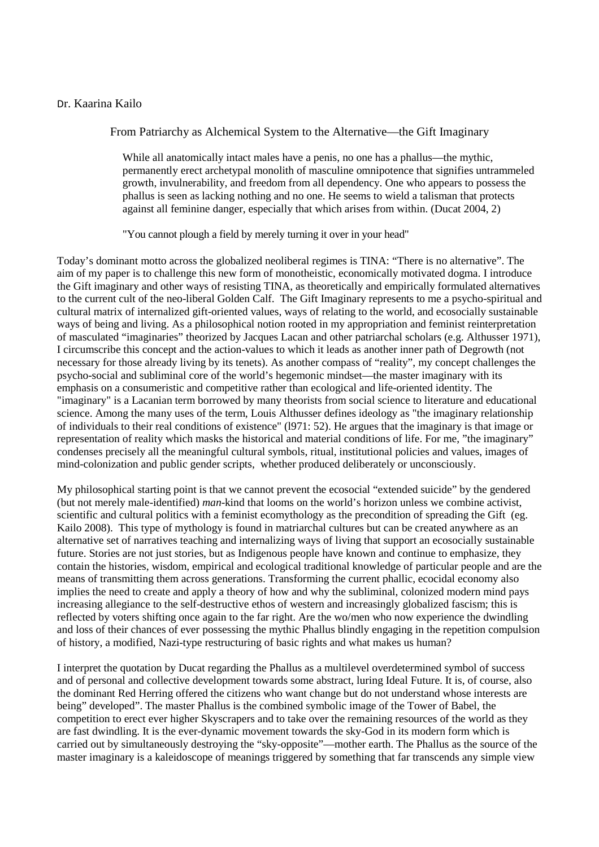# Dr. Kaarina Kailo

From Patriarchy as Alchemical System to the Alternative—the Gift Imaginary

While all anatomically intact males have a penis, no one has a phallus—the mythic, permanently erect archetypal monolith of masculine omnipotence that signifies untrammeled growth, invulnerability, and freedom from all dependency. One who appears to possess the phallus is seen as lacking nothing and no one. He seems to wield a talisman that protects against all feminine danger, especially that which arises from within. (Ducat 2004, 2)

"You cannot plough a field by merely turning it over in your head"

Today's dominant motto across the globalized neoliberal regimes is TINA: "There is no alternative". The aim of my paper is to challenge this new form of monotheistic, economically motivated dogma. I introduce the Gift imaginary and other ways of resisting TINA, as theoretically and empirically formulated alternatives to the current cult of the neo-liberal Golden Calf. The Gift Imaginary represents to me a psycho-spiritual and cultural matrix of internalized gift-oriented values, ways of relating to the world, and ecosocially sustainable ways of being and living. As a philosophical notion rooted in my appropriation and feminist reinterpretation of masculated "imaginaries" theorized by Jacques Lacan and other patriarchal scholars (e.g. Althusser 1971), I circumscribe this concept and the action-values to which it leads as another inner path of Degrowth (not necessary for those already living by its tenets). As another compass of "reality", my concept challenges the psycho-social and subliminal core of the world's hegemonic mindset—the master imaginary with its emphasis on a consumeristic and competitive rather than ecological and life-oriented identity. The "imaginary" is a Lacanian term borrowed by many theorists from social science to literature and educational science. Among the many uses of the term, Louis Althusser defines ideology as "the imaginary relationship of individuals to their real conditions of existence" (l971: 52). He argues that the imaginary is that image or representation of reality which masks the historical and material conditions of life. For me, "the imaginary" condenses precisely all the meaningful cultural symbols, ritual, institutional policies and values, images of mind-colonization and public gender scripts, whether produced deliberately or unconsciously.

My philosophical starting point is that we cannot prevent the ecosocial "extended suicide" by the gendered (but not merely male-identified) *man*-kind that looms on the world's horizon unless we combine activist, scientific and cultural politics with a feminist ecomythology as the precondition of spreading the Gift (eg. Kailo 2008). This type of mythology is found in matriarchal cultures but can be created anywhere as an alternative set of narratives teaching and internalizing ways of living that support an ecosocially sustainable future. Stories are not just stories, but as Indigenous people have known and continue to emphasize, they contain the histories, wisdom, empirical and ecological traditional knowledge of particular people and are the means of transmitting them across generations. Transforming the current phallic, ecocidal economy also implies the need to create and apply a theory of how and why the subliminal, colonized modern mind pays increasing allegiance to the self-destructive ethos of western and increasingly globalized fascism; this is reflected by voters shifting once again to the far right. Are the wo/men who now experience the dwindling and loss of their chances of ever possessing the mythic Phallus blindly engaging in the repetition compulsion of history, a modified, Nazi-type restructuring of basic rights and what makes us human?

I interpret the quotation by Ducat regarding the Phallus as a multilevel overdetermined symbol of success and of personal and collective development towards some abstract, luring Ideal Future. It is, of course, also the dominant Red Herring offered the citizens who want change but do not understand whose interests are being" developed". The master Phallus is the combined symbolic image of the Tower of Babel, the competition to erect ever higher Skyscrapers and to take over the remaining resources of the world as they are fast dwindling. It is the ever-dynamic movement towards the sky-God in its modern form which is carried out by simultaneously destroying the "sky-opposite"—mother earth. The Phallus as the source of the master imaginary is a kaleidoscope of meanings triggered by something that far transcends any simple view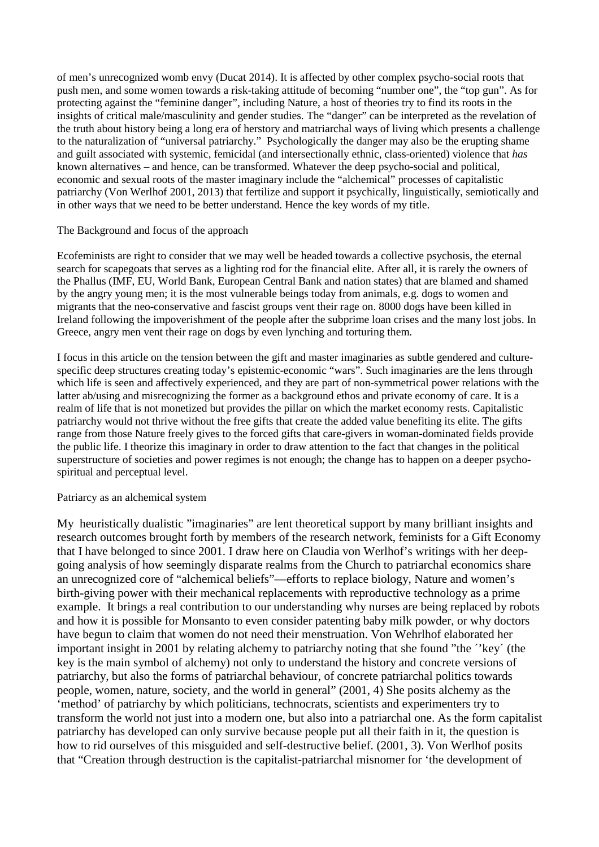of men's unrecognized womb envy (Ducat 2014). It is affected by other complex psycho-social roots that push men, and some women towards a risk-taking attitude of becoming "number one", the "top gun". As for protecting against the "feminine danger", including Nature, a host of theories try to find its roots in the insights of critical male/masculinity and gender studies. The "danger" can be interpreted as the revelation of the truth about history being a long era of herstory and matriarchal ways of living which presents a challenge to the naturalization of "universal patriarchy." Psychologically the danger may also be the erupting shame and guilt associated with systemic, femicidal (and intersectionally ethnic, class-oriented) violence that *has*  known alternatives – and hence, can be transformed. Whatever the deep psycho-social and political, economic and sexual roots of the master imaginary include the "alchemical" processes of capitalistic patriarchy (Von Werlhof 2001, 2013) that fertilize and support it psychically, linguistically, semiotically and in other ways that we need to be better understand. Hence the key words of my title.

## The Background and focus of the approach

Ecofeminists are right to consider that we may well be headed towards a collective psychosis, the eternal search for scapegoats that serves as a lighting rod for the financial elite. After all, it is rarely the owners of the Phallus (IMF, EU, World Bank, European Central Bank and nation states) that are blamed and shamed by the angry young men; it is the most vulnerable beings today from animals, e.g. dogs to women and migrants that the neo-conservative and fascist groups vent their rage on. 8000 dogs have been killed in Ireland following the impoverishment of the people after the subprime loan crises and the many lost jobs. In Greece, angry men vent their rage on dogs by even lynching and torturing them.

I focus in this article on the tension between the gift and master imaginaries as subtle gendered and culturespecific deep structures creating today's epistemic-economic "wars". Such imaginaries are the lens through which life is seen and affectively experienced, and they are part of non-symmetrical power relations with the latter ab/using and misrecognizing the former as a background ethos and private economy of care. It is a realm of life that is not monetized but provides the pillar on which the market economy rests. Capitalistic patriarchy would not thrive without the free gifts that create the added value benefiting its elite. The gifts range from those Nature freely gives to the forced gifts that care-givers in woman-dominated fields provide the public life. I theorize this imaginary in order to draw attention to the fact that changes in the political superstructure of societies and power regimes is not enough; the change has to happen on a deeper psychospiritual and perceptual level.

## Patriarcy as an alchemical system

My heuristically dualistic "imaginaries" are lent theoretical support by many brilliant insights and research outcomes brought forth by members of the research network, feminists for a Gift Economy that I have belonged to since 2001. I draw here on Claudia von Werlhof's writings with her deepgoing analysis of how seemingly disparate realms from the Church to patriarchal economics share an unrecognized core of "alchemical beliefs"—efforts to replace biology, Nature and women's birth-giving power with their mechanical replacements with reproductive technology as a prime example. It brings a real contribution to our understanding why nurses are being replaced by robots and how it is possible for Monsanto to even consider patenting baby milk powder, or why doctors have begun to claim that women do not need their menstruation. Von Wehrlhof elaborated her important insight in 2001 by relating alchemy to patriarchy noting that she found "the ´'key´ (the key is the main symbol of alchemy) not only to understand the history and concrete versions of patriarchy, but also the forms of patriarchal behaviour, of concrete patriarchal politics towards people, women, nature, society, and the world in general" (2001, 4) She posits alchemy as the 'method' of patriarchy by which politicians, technocrats, scientists and experimenters try to transform the world not just into a modern one, but also into a patriarchal one. As the form capitalist patriarchy has developed can only survive because people put all their faith in it, the question is how to rid ourselves of this misguided and self-destructive belief. (2001, 3). Von Werlhof posits that "Creation through destruction is the capitalist-patriarchal misnomer for 'the development of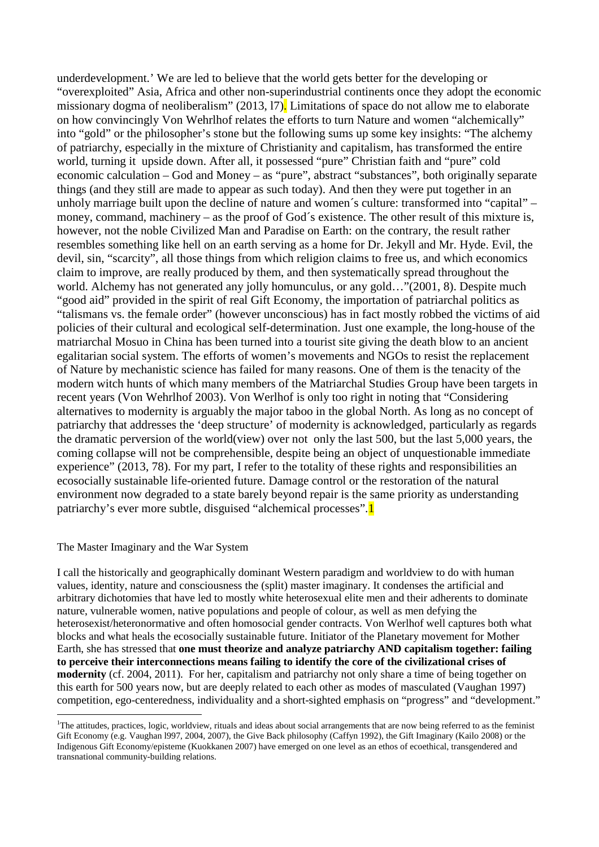underdevelopment.' We are led to believe that the world gets better for the developing or "overexploited" Asia, Africa and other non-superindustrial continents once they adopt the economic missionary dogma of neoliberalism" (2013, 17). Limitations of space do not allow me to elaborate on how convincingly Von Wehrlhof relates the efforts to turn Nature and women "alchemically" into "gold" or the philosopher's stone but the following sums up some key insights: "The alchemy of patriarchy, especially in the mixture of Christianity and capitalism, has transformed the entire world, turning it upside down. After all, it possessed "pure" Christian faith and "pure" cold economic calculation – God and Money – as "pure", abstract "substances", both originally separate things (and they still are made to appear as such today). And then they were put together in an unholy marriage built upon the decline of nature and women´s culture: transformed into "capital" – money, command, machinery – as the proof of God´s existence. The other result of this mixture is, however, not the noble Civilized Man and Paradise on Earth: on the contrary, the result rather resembles something like hell on an earth serving as a home for Dr. Jekyll and Mr. Hyde. Evil, the devil, sin, "scarcity", all those things from which religion claims to free us, and which economics claim to improve, are really produced by them, and then systematically spread throughout the world. Alchemy has not generated any jolly homunculus, or any gold…"(2001, 8). Despite much "good aid" provided in the spirit of real Gift Economy, the importation of patriarchal politics as "talismans vs. the female order" (however unconscious) has in fact mostly robbed the victims of aid policies of their cultural and ecological self-determination. Just one example, the long-house of the matriarchal Mosuo in China has been turned into a tourist site giving the death blow to an ancient egalitarian social system. The efforts of women's movements and NGOs to resist the replacement of Nature by mechanistic science has failed for many reasons. One of them is the tenacity of the modern witch hunts of which many members of the Matriarchal Studies Group have been targets in recent years (Von Wehrlhof 2003). Von Werlhof is only too right in noting that "Considering alternatives to modernity is arguably the major taboo in the global North. As long as no concept of patriarchy that addresses the 'deep structure' of modernity is acknowledged, particularly as regards the dramatic perversion of the world(view) over not only the last 500, but the last 5,000 years, the coming collapse will not be comprehensible, despite being an object of unquestionable immediate experience" (2013, 78). For my part, I refer to the totality of these rights and responsibilities an ecosocially sustainable life-oriented future. Damage control or the restoration of the natural environment now degraded to a state barely beyond repair is the same priority as understanding patriarchy's ever more subtle, disguised "alchemical processes".<sup>1</sup>

### The Master Imaginary and the War System

 $\overline{a}$ 

I call the historically and geographically dominant Western paradigm and worldview to do with human values, identity, nature and consciousness the (split) master imaginary. It condenses the artificial and arbitrary dichotomies that have led to mostly white heterosexual elite men and their adherents to dominate nature, vulnerable women, native populations and people of colour, as well as men defying the heterosexist/heteronormative and often homosocial gender contracts. Von Werlhof well captures both what blocks and what heals the ecosocially sustainable future. Initiator of the Planetary movement for Mother Earth, she has stressed that **one must theorize and analyze patriarchy AND capitalism together: failing to perceive their interconnections means failing to identify the core of the civilizational crises of modernity** (cf. 2004, 2011). For her, capitalism and patriarchy not only share a time of being together on this earth for 500 years now, but are deeply related to each other as modes of masculated (Vaughan 1997) competition, ego-centeredness, individuality and a short-sighted emphasis on "progress" and "development."

 $1$ <sup>1</sup>The attitudes, practices, logic, worldview, rituals and ideas about social arrangements that are now being referred to as the feminist Gift Economy (e.g. Vaughan l997, 2004, 2007), the Give Back philosophy (Caffyn 1992), the Gift Imaginary (Kailo 2008) or the Indigenous Gift Economy/episteme (Kuokkanen 2007) have emerged on one level as an ethos of ecoethical, transgendered and transnational community-building relations.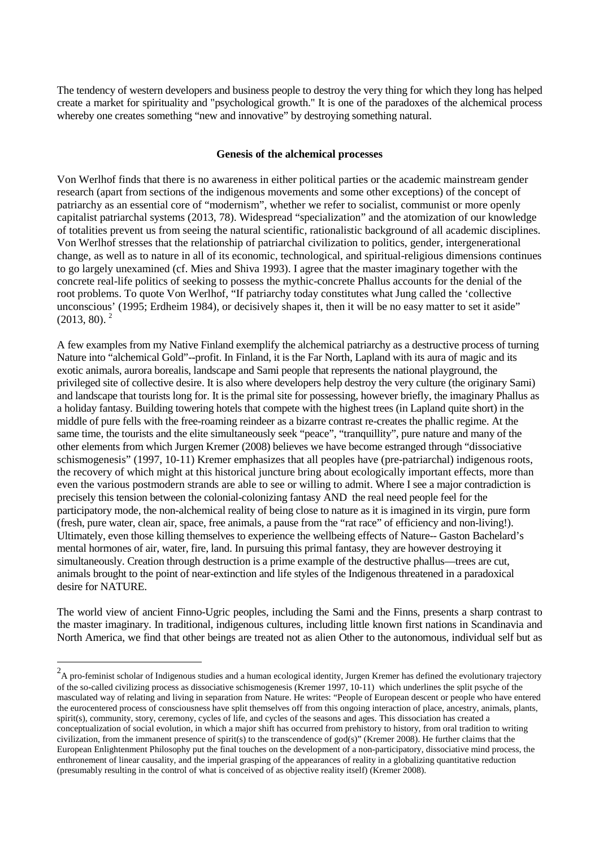The tendency of western developers and business people to destroy the very thing for which they long has helped create a market for spirituality and "psychological growth." It is one of the paradoxes of the alchemical process whereby one creates something "new and innovative" by destroying something natural.

#### **Genesis of the alchemical processes**

Von Werlhof finds that there is no awareness in either political parties or the academic mainstream gender research (apart from sections of the indigenous movements and some other exceptions) of the concept of patriarchy as an essential core of "modernism", whether we refer to socialist, communist or more openly capitalist patriarchal systems (2013, 78). Widespread "specialization" and the atomization of our knowledge of totalities prevent us from seeing the natural scientific, rationalistic background of all academic disciplines. Von Werlhof stresses that the relationship of patriarchal civilization to politics, gender, intergenerational change, as well as to nature in all of its economic, technological, and spiritual-religious dimensions continues to go largely unexamined (cf. Mies and Shiva 1993). I agree that the master imaginary together with the concrete real-life politics of seeking to possess the mythic-concrete Phallus accounts for the denial of the root problems. To quote Von Werlhof, "If patriarchy today constitutes what Jung called the 'collective unconscious' (1995; Erdheim 1984), or decisively shapes it, then it will be no easy matter to set it aside"  $(2013, 80).$ <sup>2</sup>

A few examples from my Native Finland exemplify the alchemical patriarchy as a destructive process of turning Nature into "alchemical Gold"--profit. In Finland, it is the Far North, Lapland with its aura of magic and its exotic animals, aurora borealis, landscape and Sami people that represents the national playground, the privileged site of collective desire. It is also where developers help destroy the very culture (the originary Sami) and landscape that tourists long for. It is the primal site for possessing, however briefly, the imaginary Phallus as a holiday fantasy. Building towering hotels that compete with the highest trees (in Lapland quite short) in the middle of pure fells with the free-roaming reindeer as a bizarre contrast re-creates the phallic regime. At the same time, the tourists and the elite simultaneously seek "peace", "tranquillity", pure nature and many of the other elements from which Jurgen Kremer (2008) believes we have become estranged through "dissociative schismogenesis" (1997, 10-11) Kremer emphasizes that all peoples have (pre-patriarchal) indigenous roots, the recovery of which might at this historical juncture bring about ecologically important effects, more than even the various postmodern strands are able to see or willing to admit. Where I see a major contradiction is precisely this tension between the colonial-colonizing fantasy AND the real need people feel for the participatory mode, the non-alchemical reality of being close to nature as it is imagined in its virgin, pure form (fresh, pure water, clean air, space, free animals, a pause from the "rat race" of efficiency and non-living!). Ultimately, even those killing themselves to experience the wellbeing effects of Nature-- Gaston Bachelard's mental hormones of air, water, fire, land. In pursuing this primal fantasy, they are however destroying it simultaneously. Creation through destruction is a prime example of the destructive phallus—trees are cut, animals brought to the point of near-extinction and life styles of the Indigenous threatened in a paradoxical desire for NATURE.

The world view of ancient Finno-Ugric peoples, including the Sami and the Finns, presents a sharp contrast to the master imaginary. In traditional, indigenous cultures, including little known first nations in Scandinavia and North America, we find that other beings are treated not as alien Other to the autonomous, individual self but as

 $\overline{a}$ 

 $^2$ A pro-feminist scholar of Indigenous studies and a human ecological identity, Jurgen Kremer has defined the evolutionary trajectory of the so-called civilizing process as dissociative schismogenesis (Kremer 1997, 10-11) which underlines the split psyche of the masculated way of relating and living in separation from Nature. He writes: "People of European descent or people who have entered the eurocentered process of consciousness have split themselves off from this ongoing interaction of place, ancestry, animals, plants, spirit(s), community, story, ceremony, cycles of life, and cycles of the seasons and ages. This dissociation has created a conceptualization of social evolution, in which a major shift has occurred from prehistory to history, from oral tradition to writing civilization, from the immanent presence of spirit(s) to the transcendence of god(s)" (Kremer 2008). He further claims that the European Enlightenment Philosophy put the final touches on the development of a non-participatory, dissociative mind process, the enthronement of linear causality, and the imperial grasping of the appearances of reality in a globalizing quantitative reduction (presumably resulting in the control of what is conceived of as objective reality itself) (Kremer 2008).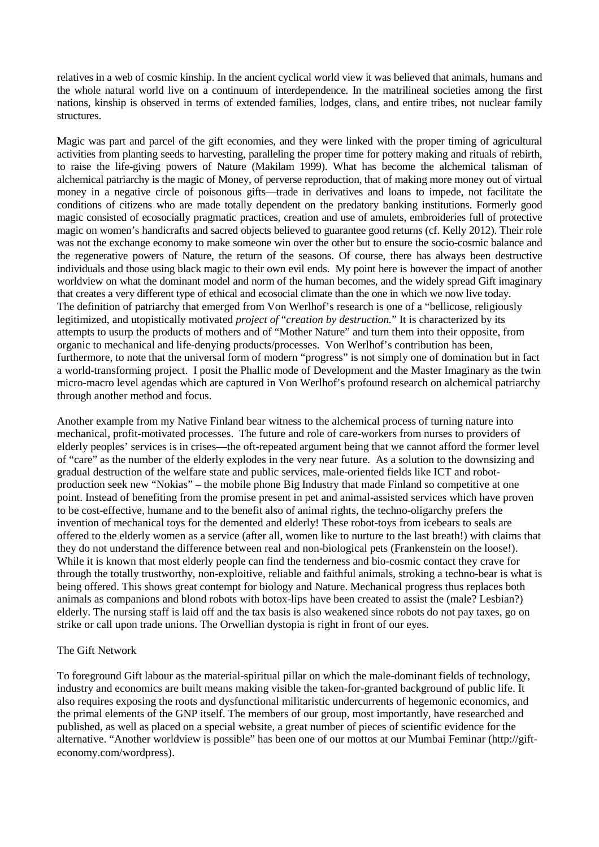relatives in a web of cosmic kinship. In the ancient cyclical world view it was believed that animals, humans and the whole natural world live on a continuum of interdependence. In the matrilineal societies among the first nations, kinship is observed in terms of extended families, lodges, clans, and entire tribes, not nuclear family structures.

Magic was part and parcel of the gift economies, and they were linked with the proper timing of agricultural activities from planting seeds to harvesting, paralleling the proper time for pottery making and rituals of rebirth, to raise the life-giving powers of Nature (Makilam 1999). What has become the alchemical talisman of alchemical patriarchy is the magic of Money, of perverse reproduction, that of making more money out of virtual money in a negative circle of poisonous gifts—trade in derivatives and loans to impede, not facilitate the conditions of citizens who are made totally dependent on the predatory banking institutions. Formerly good magic consisted of ecosocially pragmatic practices, creation and use of amulets, embroideries full of protective magic on women's handicrafts and sacred objects believed to guarantee good returns (cf. Kelly 2012). Their role was not the exchange economy to make someone win over the other but to ensure the socio-cosmic balance and the regenerative powers of Nature, the return of the seasons. Of course, there has always been destructive individuals and those using black magic to their own evil ends. My point here is however the impact of another worldview on what the dominant model and norm of the human becomes, and the widely spread Gift imaginary that creates a very different type of ethical and ecosocial climate than the one in which we now live today. The definition of patriarchy that emerged from Von Werlhof's research is one of a "bellicose, religiously legitimized, and utopistically motivated *project of* "*creation by destruction.*" It is characterized by its attempts to usurp the products of mothers and of "Mother Nature" and turn them into their opposite, from organic to mechanical and life-denying products/processes. Von Werlhof's contribution has been, furthermore, to note that the universal form of modern "progress" is not simply one of domination but in fact a world-transforming project. I posit the Phallic mode of Development and the Master Imaginary as the twin micro-macro level agendas which are captured in Von Werlhof's profound research on alchemical patriarchy through another method and focus.

Another example from my Native Finland bear witness to the alchemical process of turning nature into mechanical, profit-motivated processes. The future and role of care-workers from nurses to providers of elderly peoples' services is in crises—the oft-repeated argument being that we cannot afford the former level of "care" as the number of the elderly explodes in the very near future. As a solution to the downsizing and gradual destruction of the welfare state and public services, male-oriented fields like ICT and robotproduction seek new "Nokias" – the mobile phone Big Industry that made Finland so competitive at one point. Instead of benefiting from the promise present in pet and animal-assisted services which have proven to be cost-effective, humane and to the benefit also of animal rights, the techno-oligarchy prefers the invention of mechanical toys for the demented and elderly! These robot-toys from icebears to seals are offered to the elderly women as a service (after all, women like to nurture to the last breath!) with claims that they do not understand the difference between real and non-biological pets (Frankenstein on the loose!). While it is known that most elderly people can find the tenderness and bio-cosmic contact they crave for through the totally trustworthy, non-exploitive, reliable and faithful animals, stroking a techno-bear is what is being offered. This shows great contempt for biology and Nature. Mechanical progress thus replaces both animals as companions and blond robots with botox-lips have been created to assist the (male? Lesbian?) elderly. The nursing staff is laid off and the tax basis is also weakened since robots do not pay taxes, go on strike or call upon trade unions. The Orwellian dystopia is right in front of our eyes.

## The Gift Network

To foreground Gift labour as the material-spiritual pillar on which the male-dominant fields of technology, industry and economics are built means making visible the taken-for-granted background of public life. It also requires exposing the roots and dysfunctional militaristic undercurrents of hegemonic economics, and the primal elements of the GNP itself. The members of our group, most importantly, have researched and published, as well as placed on a special website, a great number of pieces of scientific evidence for the alternative. "Another worldview is possible" has been one of our mottos at our Mumbai Feminar (http://gifteconomy.com/wordpress).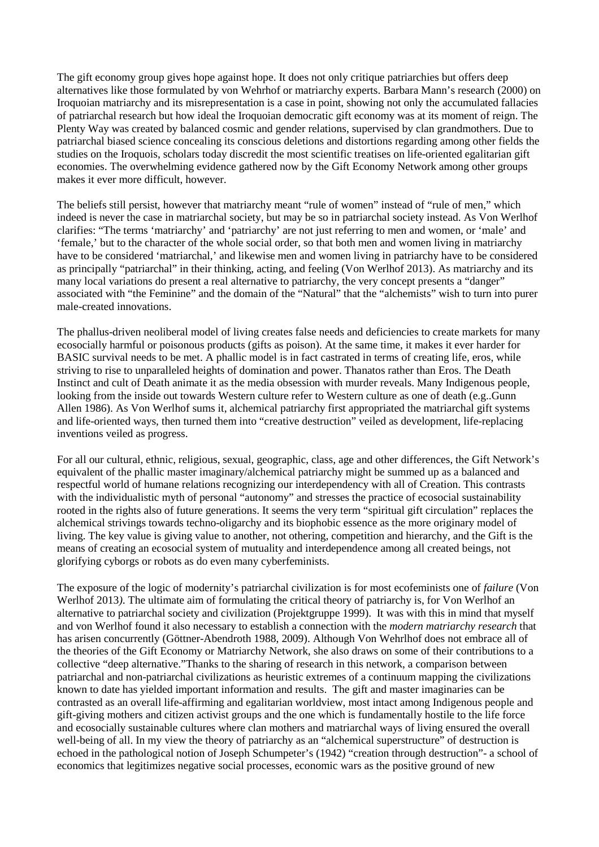The gift economy group gives hope against hope. It does not only critique patriarchies but offers deep alternatives like those formulated by von Wehrhof or matriarchy experts. Barbara Mann's research (2000) on Iroquoian matriarchy and its misrepresentation is a case in point, showing not only the accumulated fallacies of patriarchal research but how ideal the Iroquoian democratic gift economy was at its moment of reign. The Plenty Way was created by balanced cosmic and gender relations, supervised by clan grandmothers. Due to patriarchal biased science concealing its conscious deletions and distortions regarding among other fields the studies on the Iroquois, scholars today discredit the most scientific treatises on life-oriented egalitarian gift economies. The overwhelming evidence gathered now by the Gift Economy Network among other groups makes it ever more difficult, however.

The beliefs still persist, however that matriarchy meant "rule of women" instead of "rule of men," which indeed is never the case in matriarchal society, but may be so in patriarchal society instead. As Von Werlhof clarifies: "The terms 'matriarchy' and 'patriarchy' are not just referring to men and women, or 'male' and 'female,' but to the character of the whole social order, so that both men and women living in matriarchy have to be considered 'matriarchal,' and likewise men and women living in patriarchy have to be considered as principally "patriarchal" in their thinking, acting, and feeling (Von Werlhof 2013). As matriarchy and its many local variations do present a real alternative to patriarchy, the very concept presents a "danger" associated with "the Feminine" and the domain of the "Natural" that the "alchemists" wish to turn into purer male-created innovations.

The phallus-driven neoliberal model of living creates false needs and deficiencies to create markets for many ecosocially harmful or poisonous products (gifts as poison). At the same time, it makes it ever harder for BASIC survival needs to be met. A phallic model is in fact castrated in terms of creating life, eros, while striving to rise to unparalleled heights of domination and power. Thanatos rather than Eros. The Death Instinct and cult of Death animate it as the media obsession with murder reveals. Many Indigenous people, looking from the inside out towards Western culture refer to Western culture as one of death (e.g..Gunn Allen 1986). As Von Werlhof sums it, alchemical patriarchy first appropriated the matriarchal gift systems and life-oriented ways, then turned them into "creative destruction" veiled as development, life-replacing inventions veiled as progress.

For all our cultural, ethnic, religious, sexual, geographic, class, age and other differences, the Gift Network's equivalent of the phallic master imaginary/alchemical patriarchy might be summed up as a balanced and respectful world of humane relations recognizing our interdependency with all of Creation. This contrasts with the individualistic myth of personal "autonomy" and stresses the practice of ecosocial sustainability rooted in the rights also of future generations. It seems the very term "spiritual gift circulation" replaces the alchemical strivings towards techno-oligarchy and its biophobic essence as the more originary model of living. The key value is giving value to another, not othering, competition and hierarchy, and the Gift is the means of creating an ecosocial system of mutuality and interdependence among all created beings, not glorifying cyborgs or robots as do even many cyberfeminists.

The exposure of the logic of modernity's patriarchal civilization is for most ecofeminists one of *failure* (Von Werlhof 2013*)*. The ultimate aim of formulating the critical theory of patriarchy is, for Von Werlhof an alternative to patriarchal society and civilization (Projektgruppe 1999). It was with this in mind that myself and von Werlhof found it also necessary to establish a connection with the *modern matriarchy research* that has arisen concurrently (Göttner-Abendroth 1988, 2009). Although Von Wehrlhof does not embrace all of the theories of the Gift Economy or Matriarchy Network, she also draws on some of their contributions to a collective "deep alternative."Thanks to the sharing of research in this network, a comparison between patriarchal and non-patriarchal civilizations as heuristic extremes of a continuum mapping the civilizations known to date has yielded important information and results. The gift and master imaginaries can be contrasted as an overall life-affirming and egalitarian worldview, most intact among Indigenous people and gift-giving mothers and citizen activist groups and the one which is fundamentally hostile to the life force and ecosocially sustainable cultures where clan mothers and matriarchal ways of living ensured the overall well-being of all. In my view the theory of patriarchy as an "alchemical superstructure" of destruction is echoed in the pathological notion of Joseph Schumpeter's (1942) "creation through destruction"- a school of economics that legitimizes negative social processes, economic wars as the positive ground of new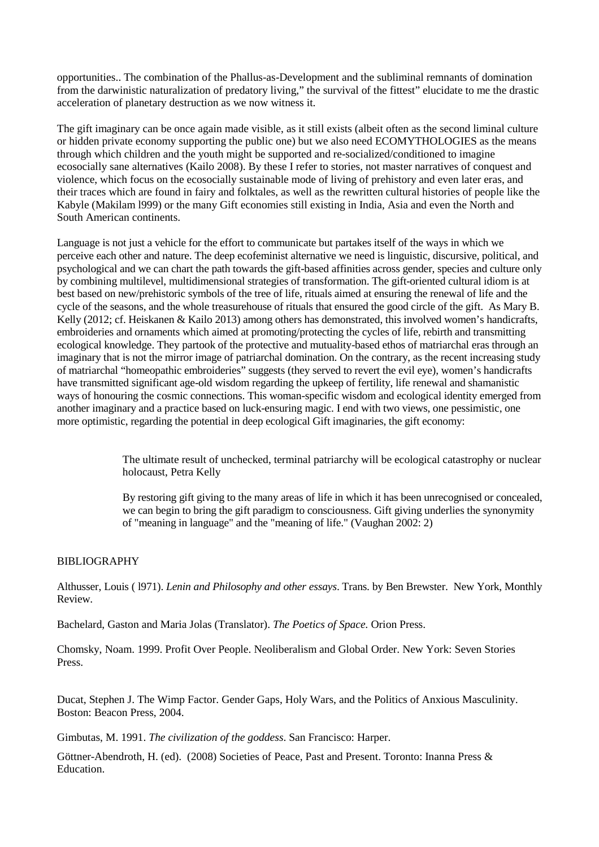opportunities.. The combination of the Phallus-as-Development and the subliminal remnants of domination from the darwinistic naturalization of predatory living," the survival of the fittest" elucidate to me the drastic acceleration of planetary destruction as we now witness it.

The gift imaginary can be once again made visible, as it still exists (albeit often as the second liminal culture or hidden private economy supporting the public one) but we also need ECOMYTHOLOGIES as the means through which children and the youth might be supported and re-socialized/conditioned to imagine ecosocially sane alternatives (Kailo 2008). By these I refer to stories, not master narratives of conquest and violence, which focus on the ecosocially sustainable mode of living of prehistory and even later eras, and their traces which are found in fairy and folktales, as well as the rewritten cultural histories of people like the Kabyle (Makilam l999) or the many Gift economies still existing in India, Asia and even the North and South American continents.

Language is not just a vehicle for the effort to communicate but partakes itself of the ways in which we perceive each other and nature. The deep ecofeminist alternative we need is linguistic, discursive, political, and psychological and we can chart the path towards the gift-based affinities across gender, species and culture only by combining multilevel, multidimensional strategies of transformation. The gift-oriented cultural idiom is at best based on new/prehistoric symbols of the tree of life, rituals aimed at ensuring the renewal of life and the cycle of the seasons, and the whole treasurehouse of rituals that ensured the good circle of the gift. As Mary B. Kelly (2012; cf. Heiskanen & Kailo 2013) among others has demonstrated, this involved women's handicrafts, embroideries and ornaments which aimed at promoting/protecting the cycles of life, rebirth and transmitting ecological knowledge. They partook of the protective and mutuality-based ethos of matriarchal eras through an imaginary that is not the mirror image of patriarchal domination. On the contrary, as the recent increasing study of matriarchal "homeopathic embroideries" suggests (they served to revert the evil eye), women's handicrafts have transmitted significant age-old wisdom regarding the upkeep of fertility, life renewal and shamanistic ways of honouring the cosmic connections. This woman-specific wisdom and ecological identity emerged from another imaginary and a practice based on luck-ensuring magic. I end with two views, one pessimistic, one more optimistic, regarding the potential in deep ecological Gift imaginaries, the gift economy:

> The ultimate result of unchecked, terminal patriarchy will be ecological catastrophy or nuclear holocaust, Petra Kelly

> By restoring gift giving to the many areas of life in which it has been unrecognised or concealed, we can begin to bring the gift paradigm to consciousness. Gift giving underlies the synonymity of "meaning in language" and the "meaning of life." (Vaughan 2002: 2)

## BIBLIOGRAPHY

Althusser, Louis ( l971). *Lenin and Philosophy and other essays*. Trans. by Ben Brewster. New York, Monthly Review.

Bachelard, Gaston and Maria Jolas (Translator). *The Poetics of Space.* Orion Press.

Chomsky, Noam. 1999. Profit Over People. Neoliberalism and Global Order. New York: Seven Stories Press.

Ducat, Stephen J. The Wimp Factor. Gender Gaps, Holy Wars, and the Politics of Anxious Masculinity. Boston: Beacon Press, 2004.

Gimbutas, M. 1991. *The civilization of the goddess*. San Francisco: Harper.

Göttner-Abendroth, H. (ed). (2008) Societies of Peace, Past and Present. Toronto: Inanna Press & Education.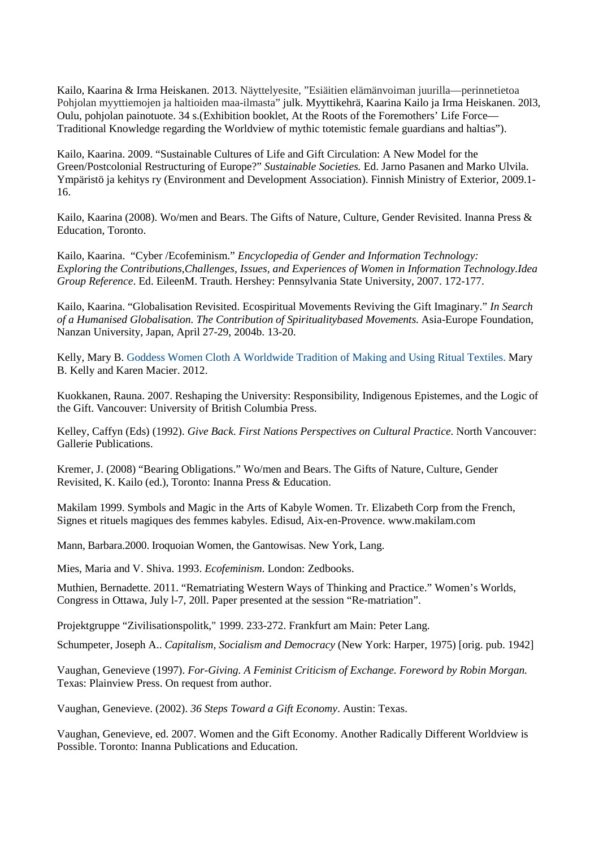Kailo, Kaarina & Irma Heiskanen. 2013. Näyttelyesite, "Esiäitien elämänvoiman juurilla—perinnetietoa Pohjolan myyttiemojen ja haltioiden maa-ilmasta" julk. Myyttikehrä, Kaarina Kailo ja Irma Heiskanen. 20l3, Oulu, pohjolan painotuote. 34 s.(Exhibition booklet, At the Roots of the Foremothers' Life Force— Traditional Knowledge regarding the Worldview of mythic totemistic female guardians and haltias").

Kailo, Kaarina. 2009. "Sustainable Cultures of Life and Gift Circulation: A New Model for the Green/Postcolonial Restructuring of Europe?" *Sustainable Societies.* Ed. Jarno Pasanen and Marko Ulvila. Ympäristö ja kehitys ry (Environment and Development Association). Finnish Ministry of Exterior, 2009.1- 16.

Kailo, Kaarina (2008). Wo/men and Bears. The Gifts of Nature, Culture, Gender Revisited. Inanna Press & Education, Toronto.

Kailo, Kaarina. "Cyber /Ecofeminism." *Encyclopedia of Gender and Information Technology: Exploring the Contributions,Challenges, Issues, and Experiences of Women in Information Technology.Idea Group Reference*. Ed. EileenM. Trauth. Hershey: Pennsylvania State University, 2007. 172-177.

Kailo, Kaarina. "Globalisation Revisited. Ecospiritual Movements Reviving the Gift Imaginary." *In Search of a Humanised Globalisation. The Contribution of Spiritualitybased Movements.* Asia-Europe Foundation, Nanzan University, Japan, April 27-29, 2004b. 13-20.

Kelly, Mary B. Goddess Women Cloth A Worldwide Tradition of Making and Using Ritual Textiles. Mary B. Kelly and Karen Macier. 2012.

Kuokkanen, Rauna. 2007. Reshaping the University: Responsibility, Indigenous Epistemes, and the Logic of the Gift. Vancouver: University of British Columbia Press.

Kelley, Caffyn (Eds) (1992). *Give Back*. *First Nations Perspectives on Cultural Practice*. North Vancouver: Gallerie Publications.

Kremer, J. (2008) "Bearing Obligations." Wo/men and Bears. The Gifts of Nature, Culture, Gender Revisited, K. Kailo (ed.), Toronto: Inanna Press & Education.

Makilam 1999. Symbols and Magic in the Arts of Kabyle Women. Tr. Elizabeth Corp from the French, Signes et rituels magiques des femmes kabyles. Edisud, Aix-en-Provence. www.makilam.com

Mann, Barbara.2000. Iroquoian Women, the Gantowisas. New York, Lang.

Mies, Maria and V. Shiva. 1993. *Ecofeminism*. London: Zedbooks.

Muthien, Bernadette. 2011. "Rematriating Western Ways of Thinking and Practice." Women's Worlds, Congress in Ottawa, July l-7, 20ll. Paper presented at the session "Re-matriation".

Projektgruppe "Zivilisationspolitk," 1999. 233-272. Frankfurt am Main: Peter Lang.

Schumpeter, Joseph A.. *Capitalism, Socialism and Democracy* (New York: Harper, 1975) [orig. pub. 1942]

Vaughan, Genevieve (1997). *For-Giving. A Feminist Criticism of Exchange. Foreword by Robin Morgan.* Texas: Plainview Press. On request from author.

Vaughan, Genevieve. (2002). *36 Steps Toward a Gift Economy*. Austin: Texas.

Vaughan, Genevieve, ed. 2007. Women and the Gift Economy. Another Radically Different Worldview is Possible. Toronto: Inanna Publications and Education.